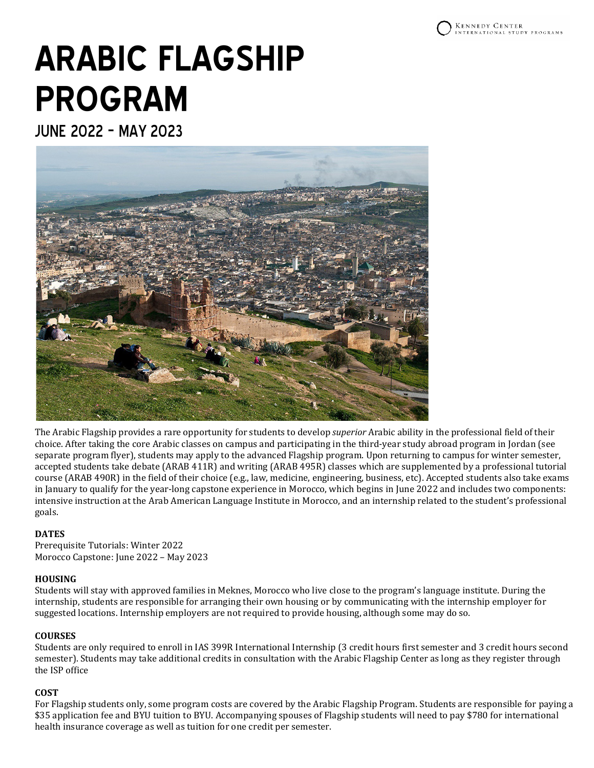# **ARABIC FLAGSHIP PROGRAM**

JUNE 2022 – MAY 2023



The Arabic Flagship provides a rare opportunity for students to develop *superior* Arabic ability in the professional field of their choice. After taking the core Arabic classes on campus and participating in the third-year study abroad program in Jordan (see separate program flyer), students may apply to the advanced Flagship program. Upon returning to campus for winter semester, accepted students take debate (ARAB 411R) and writing (ARAB 495R) classes which are supplemented by a professional tutorial course (ARAB 490R) in the field of their choice (e.g., law, medicine, engineering, business, etc). Accepted students also take exams in January to qualify for the year-long capstone experience in Morocco, which begins in June 2022 and includes two components: intensive instruction at the Arab American Language Institute in Morocco, and an internship related to the student's professional goals.

# **DATES**

Prerequisite Tutorials: Winter 2022 Morocco Capstone: June 2022 – May 2023

# **HOUSING**

Students will stay with approved families in Meknes, Morocco who live close to the program's language institute. During the internship, students are responsible for arranging their own housing or by communicating with the internship employer for suggested locations. Internship employers are not required to provide housing, although some may do so.

# **COURSES**

Students are only required to enroll in IAS 399R International Internship (3 credit hours first semester and 3 credit hours second semester). Students may take additional credits in consultation with the Arabic Flagship Center as long as they register through the ISP office

# **COST**

For Flagship students only, some program costs are covered by the Arabic Flagship Program. Students are responsible for paying a \$35 application fee and BYU tuition to BYU. Accompanying spouses of Flagship students will need to pay \$780 for international health insurance coverage as well as tuition for one credit per semester.